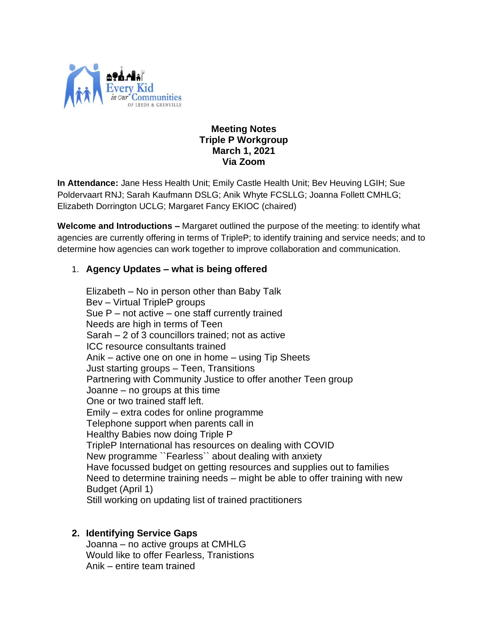

# **Meeting Notes Triple P Workgroup March 1, 2021 Via Zoom**

**In Attendance:** Jane Hess Health Unit; Emily Castle Health Unit; Bev Heuving LGIH; Sue Poldervaart RNJ; Sarah Kaufmann DSLG; Anik Whyte FCSLLG; Joanna Follett CMHLG; Elizabeth Dorrington UCLG; Margaret Fancy EKIOC (chaired)

**Welcome and Introductions –** Margaret outlined the purpose of the meeting: to identify what agencies are currently offering in terms of TripleP; to identify training and service needs; and to determine how agencies can work together to improve collaboration and communication.

# 1. **Agency Updates – what is being offered**

Elizabeth – No in person other than Baby Talk Bev – Virtual TripleP groups Sue  $P$  – not active – one staff currently trained Needs are high in terms of Teen Sarah – 2 of 3 councillors trained; not as active ICC resource consultants trained Anik – active one on one in home – using Tip Sheets Just starting groups – Teen, Transitions Partnering with Community Justice to offer another Teen group Joanne – no groups at this time One or two trained staff left. Emily – extra codes for online programme Telephone support when parents call in Healthy Babies now doing Triple P TripleP International has resources on dealing with COVID New programme ``Fearless`` about dealing with anxiety Have focussed budget on getting resources and supplies out to families Need to determine training needs – might be able to offer training with new Budget (April 1) Still working on updating list of trained practitioners

### **2. Identifying Service Gaps**

Joanna – no active groups at CMHLG Would like to offer Fearless, Tranistions Anik – entire team trained